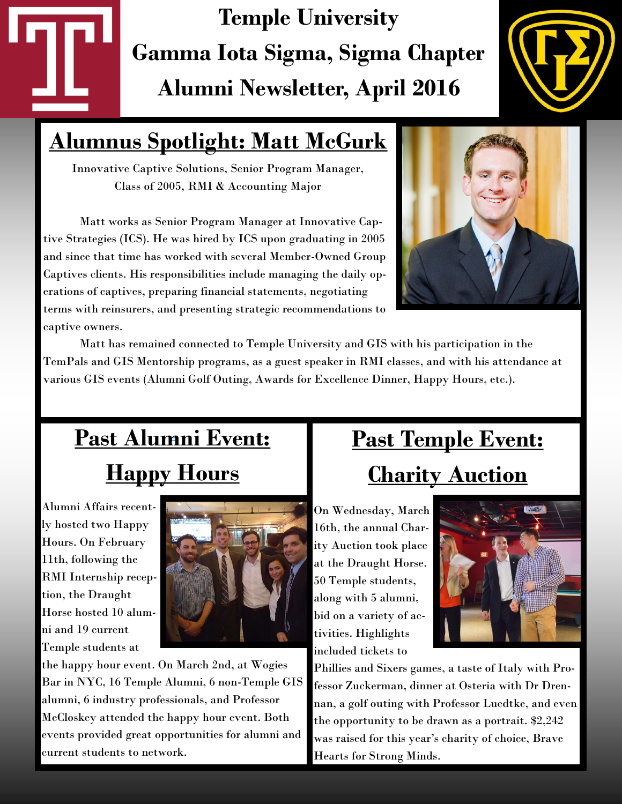# **Temple University Gamma Iota Sigma, Sigma Chapter Alumni Newsletter, April 2016**



## **Alumnus Spotlight: Matt McGurk**

Innovative Captive Solutions, Senior Program Manager, Class of 2005, RMI & Accounting Major

Matt works as Senior Program Manager at Innovative Captive Strategies (ICS). He was hired by ICS upon graduating in 2005 and since that time has worked with several Member-Owned Group Captives clients. His responsibilities include managing the daily operations of captives, preparing financial statements, negotiating terms with reinsurers, and presenting strategic recommendations to captive owners.



Matt has remained connected to Temple University and GIS with his participation in the TemPals and GIS Mentorship programs, as a guest speaker in RMI classes, and with his attendance at various GIS events (Alumni Golf Outing, Awards for Excellence Dinner, Happy Hours, etc.).

## **Past Alumni Event:** *<sup>=</sup>* **Happy Hours**

Alumni Affairs recently hosted two Happy Hours. On February 11th, following the RMI Internship reception, the Draught Horse hosted 10 alumni and 19 current Temple students at



the happy hour event. On March 2nd, at Wogies Bar in NYC, 16 Temple Alumni, 6 non-Temple GIS alumni, 6 industry professionals, and Professor McCloskey attended the happy hour event. Both events provided great opportunities for alumni and current students to network.

## **Past Temple Event: Charity Auction**

On Wednesday, March 16th, the annual Charity Auction took place at the Draught Horse. 50 Temple students, along with 5 alumni, bid on a variety of activities. Highlights included tickets to



Phillies and Sixers games, a taste of Italy with Professor Zuckerman, dinner at Osteria with Dr Drennan, a golf outing with Professor Luedtke, and even the opportunity to be drawn as a portrait. \$2,242 was raised for this year's charity of choice, Brave Hearts for Strong Minds.